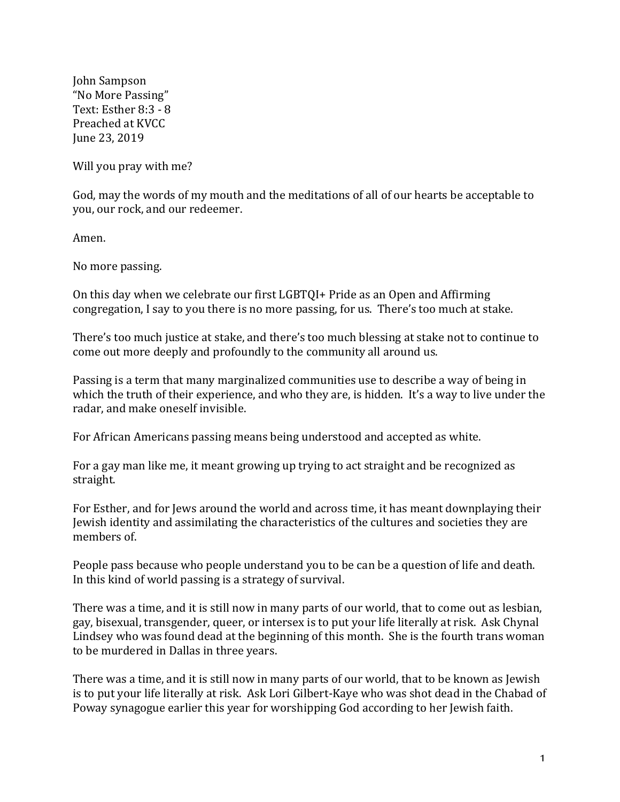John Sampson "No More Passing" Text: Esther 8:3 - 8 Preached at KVCC June 23, 2019

Will you pray with me?

God, may the words of my mouth and the meditations of all of our hearts be acceptable to you, our rock, and our redeemer.

Amen.

No more passing.

On this day when we celebrate our first LGBTQI+ Pride as an Open and Affirming congregation, I say to you there is no more passing, for us. There's too much at stake.

There's too much justice at stake, and there's too much blessing at stake not to continue to come out more deeply and profoundly to the community all around us.

Passing is a term that many marginalized communities use to describe a way of being in which the truth of their experience, and who they are, is hidden. It's a way to live under the radar, and make oneself invisible.

For African Americans passing means being understood and accepted as white.

For a gay man like me, it meant growing up trying to act straight and be recognized as straight.

For Esther, and for Jews around the world and across time, it has meant downplaying their Jewish identity and assimilating the characteristics of the cultures and societies they are members of.

People pass because who people understand you to be can be a question of life and death. In this kind of world passing is a strategy of survival.

There was a time, and it is still now in many parts of our world, that to come out as lesbian, gay, bisexual, transgender, queer, or intersex is to put your life literally at risk. Ask Chynal Lindsey who was found dead at the beginning of this month. She is the fourth trans woman to be murdered in Dallas in three years.

There was a time, and it is still now in many parts of our world, that to be known as Jewish is to put your life literally at risk. Ask Lori Gilbert-Kaye who was shot dead in the Chabad of Poway synagogue earlier this year for worshipping God according to her Jewish faith.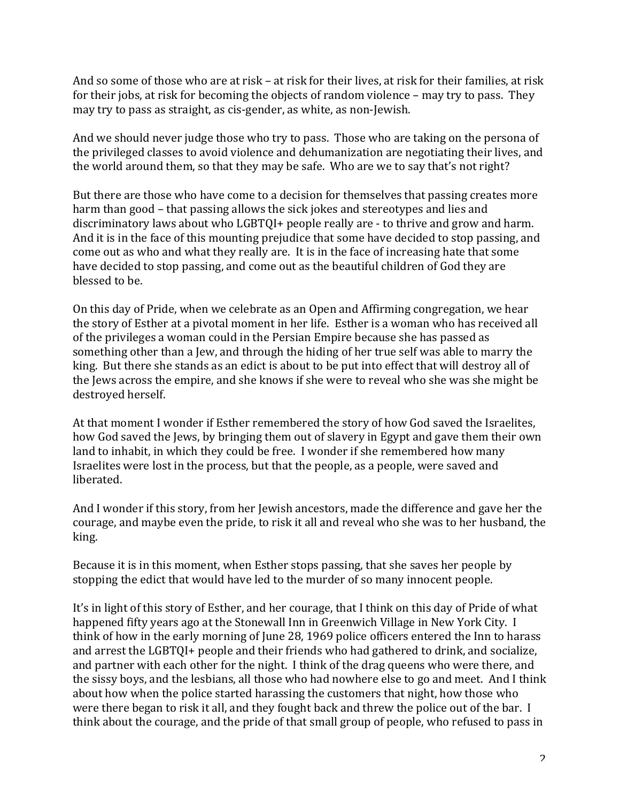And so some of those who are at risk – at risk for their lives, at risk for their families, at risk for their jobs, at risk for becoming the objects of random violence  $-$  may try to pass. They may try to pass as straight, as cis-gender, as white, as non-Jewish.

And we should never judge those who try to pass. Those who are taking on the persona of the privileged classes to avoid violence and dehumanization are negotiating their lives, and the world around them, so that they may be safe. Who are we to say that's not right?

But there are those who have come to a decision for themselves that passing creates more harm than good – that passing allows the sick jokes and stereotypes and lies and discriminatory laws about who LGBTOI+ people really are - to thrive and grow and harm. And it is in the face of this mounting prejudice that some have decided to stop passing, and come out as who and what they really are. It is in the face of increasing hate that some have decided to stop passing, and come out as the beautiful children of God they are blessed to be.

On this day of Pride, when we celebrate as an Open and Affirming congregation, we hear the story of Esther at a pivotal moment in her life. Esther is a woman who has received all of the privileges a woman could in the Persian Empire because she has passed as something other than a Jew, and through the hiding of her true self was able to marry the king. But there she stands as an edict is about to be put into effect that will destroy all of the lews across the empire, and she knows if she were to reveal who she was she might be destroyed herself.

At that moment I wonder if Esther remembered the story of how God saved the Israelites, how God saved the Jews, by bringing them out of slavery in Egypt and gave them their own land to inhabit, in which they could be free. I wonder if she remembered how many Israelites were lost in the process, but that the people, as a people, were saved and liberated.

And I wonder if this story, from her Jewish ancestors, made the difference and gave her the courage, and maybe even the pride, to risk it all and reveal who she was to her husband, the king.

Because it is in this moment, when Esther stops passing, that she saves her people by stopping the edict that would have led to the murder of so many innocent people.

It's in light of this story of Esther, and her courage, that I think on this day of Pride of what happened fifty years ago at the Stonewall Inn in Greenwich Village in New York City. I think of how in the early morning of June 28, 1969 police officers entered the Inn to harass and arrest the LGBTQI+ people and their friends who had gathered to drink, and socialize, and partner with each other for the night. I think of the drag queens who were there, and the sissy boys, and the lesbians, all those who had nowhere else to go and meet. And I think about how when the police started harassing the customers that night, how those who were there began to risk it all, and they fought back and threw the police out of the bar. I think about the courage, and the pride of that small group of people, who refused to pass in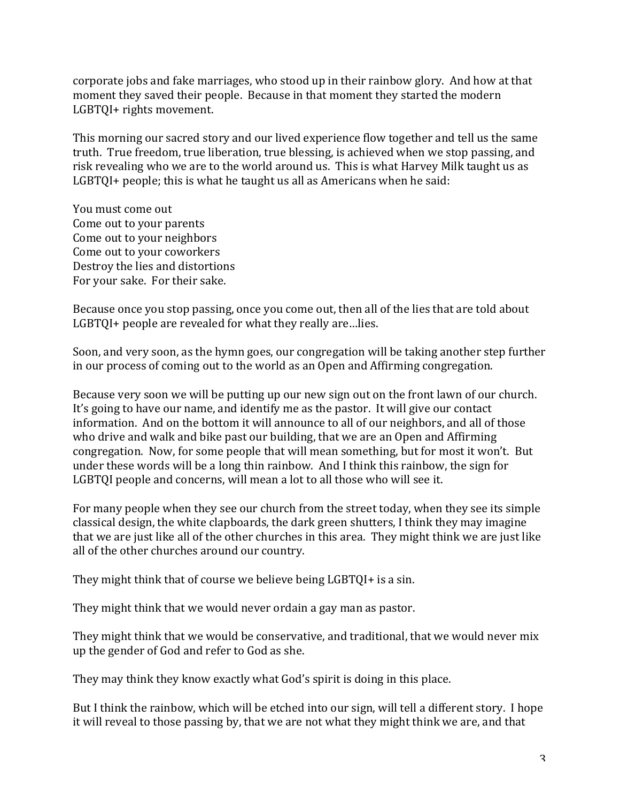corporate jobs and fake marriages, who stood up in their rainbow glory. And how at that moment they saved their people. Because in that moment they started the modern LGBTQI+ rights movement.

This morning our sacred story and our lived experience flow together and tell us the same truth. True freedom, true liberation, true blessing, is achieved when we stop passing, and risk revealing who we are to the world around us. This is what Harvey Milk taught us as LGBTQI+ people; this is what he taught us all as Americans when he said:

You must come out Come out to your parents Come out to your neighbors Come out to your coworkers Destroy the lies and distortions For your sake. For their sake.

Because once you stop passing, once you come out, then all of the lies that are told about LGBTQI+ people are revealed for what they really are...lies.

Soon, and very soon, as the hymn goes, our congregation will be taking another step further in our process of coming out to the world as an Open and Affirming congregation.

Because very soon we will be putting up our new sign out on the front lawn of our church. It's going to have our name, and identify me as the pastor. It will give our contact information. And on the bottom it will announce to all of our neighbors, and all of those who drive and walk and bike past our building, that we are an Open and Affirming congregation. Now, for some people that will mean something, but for most it won't. But under these words will be a long thin rainbow. And I think this rainbow, the sign for LGBTQI people and concerns, will mean a lot to all those who will see it.

For many people when they see our church from the street today, when they see its simple classical design, the white clapboards, the dark green shutters, I think they may imagine that we are just like all of the other churches in this area. They might think we are just like all of the other churches around our country.

They might think that of course we believe being  $LGPTQI+$  is a sin.

They might think that we would never ordain a gay man as pastor.

They might think that we would be conservative, and traditional, that we would never mix up the gender of God and refer to God as she.

They may think they know exactly what God's spirit is doing in this place.

But I think the rainbow, which will be etched into our sign, will tell a different story. I hope it will reveal to those passing by, that we are not what they might think we are, and that